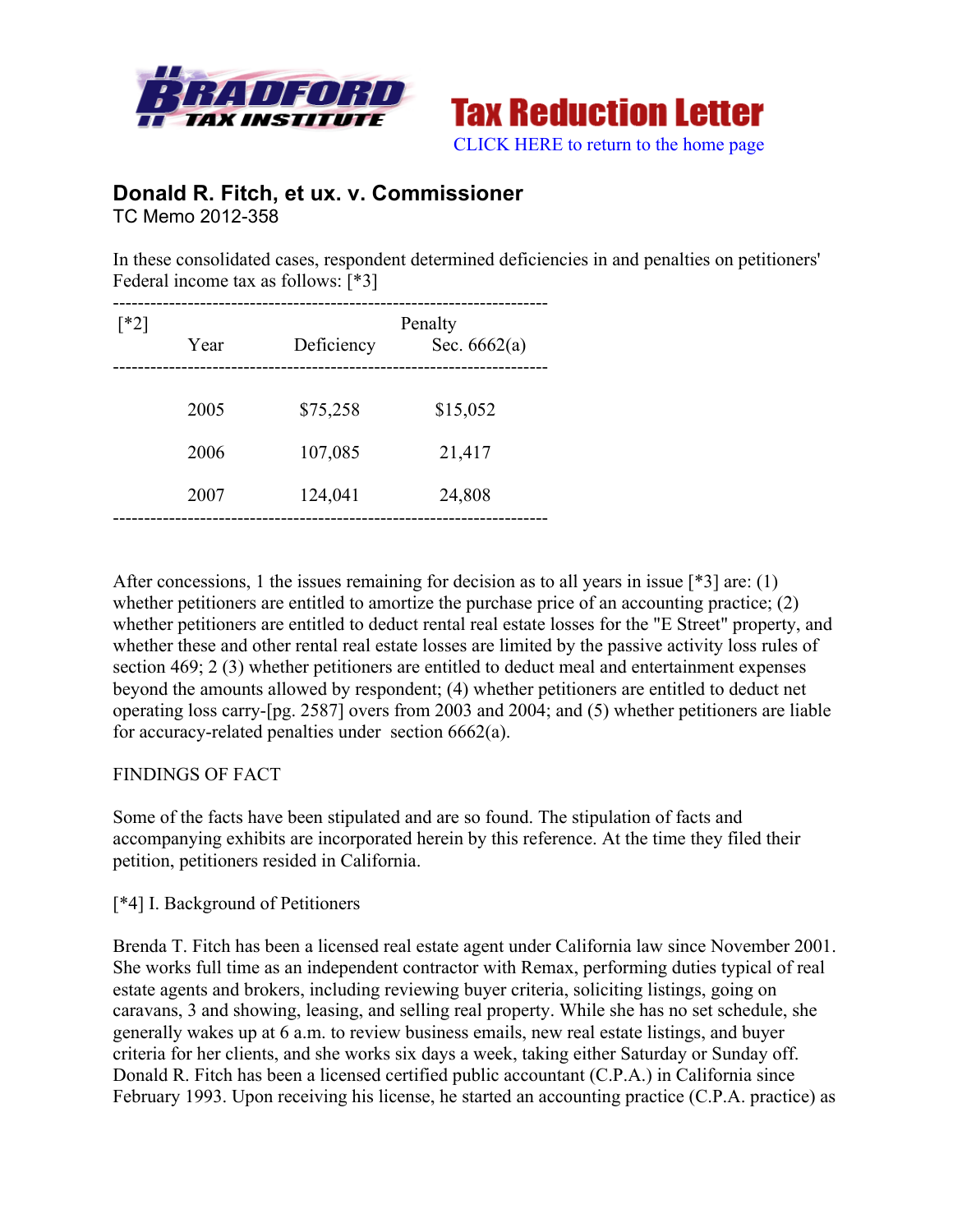



# **Donald R. Fitch, et ux. v. Commissioner** TC Memo 2012-358

In these consolidated cases, respondent determined deficiencies in and penalties on petitioners' Federal income tax as follows: [\*3]

| $\lceil *2 \rceil$ | Year | Penalty<br>Deficiency<br>Sec. $6662(a)$ |          |  |
|--------------------|------|-----------------------------------------|----------|--|
|                    | 2005 | \$75,258                                | \$15,052 |  |
|                    | 2006 | 107,085                                 | 21,417   |  |
|                    | 2007 | 124,041                                 | 24,808   |  |
|                    |      |                                         |          |  |

After concessions, 1 the issues remaining for decision as to all years in issue [\*3] are: (1) whether petitioners are entitled to amortize the purchase price of an accounting practice; (2) whether petitioners are entitled to deduct rental real estate losses for the "E Street" property, and whether these and other rental real estate losses are limited by the passive activity loss rules of section 469; 2 (3) whether petitioners are entitled to deduct meal and entertainment expenses beyond the amounts allowed by respondent; (4) whether petitioners are entitled to deduct net operating loss carry-[pg. 2587] overs from 2003 and 2004; and (5) whether petitioners are liable for accuracy-related penalties under section 6662(a).

## FINDINGS OF FACT

Some of the facts have been stipulated and are so found. The stipulation of facts and accompanying exhibits are incorporated herein by this reference. At the time they filed their petition, petitioners resided in California.

### [\*4] I. Background of Petitioners

Brenda T. Fitch has been a licensed real estate agent under California law since November 2001. She works full time as an independent contractor with Remax, performing duties typical of real estate agents and brokers, including reviewing buyer criteria, soliciting listings, going on caravans, 3 and showing, leasing, and selling real property. While she has no set schedule, she generally wakes up at 6 a.m. to review business emails, new real estate listings, and buyer criteria for her clients, and she works six days a week, taking either Saturday or Sunday off. Donald R. Fitch has been a licensed certified public accountant (C.P.A.) in California since February 1993. Upon receiving his license, he started an accounting practice (C.P.A. practice) as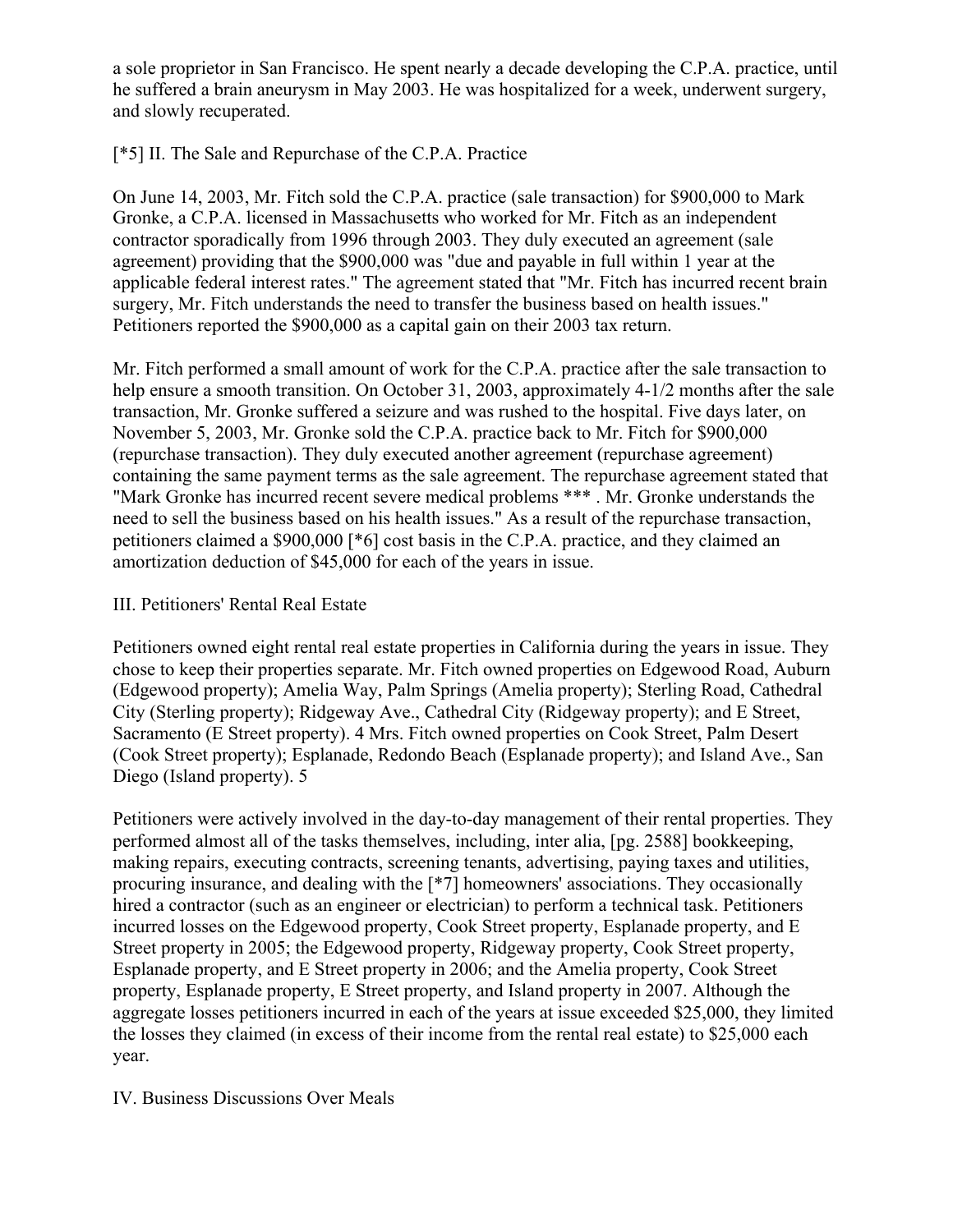a sole proprietor in San Francisco. He spent nearly a decade developing the C.P.A. practice, until he suffered a brain aneurysm in May 2003. He was hospitalized for a week, underwent surgery, and slowly recuperated.

## [\*5] II. The Sale and Repurchase of the C.P.A. Practice

On June 14, 2003, Mr. Fitch sold the C.P.A. practice (sale transaction) for \$900,000 to Mark Gronke, a C.P.A. licensed in Massachusetts who worked for Mr. Fitch as an independent contractor sporadically from 1996 through 2003. They duly executed an agreement (sale agreement) providing that the \$900,000 was "due and payable in full within 1 year at the applicable federal interest rates." The agreement stated that "Mr. Fitch has incurred recent brain surgery, Mr. Fitch understands the need to transfer the business based on health issues." Petitioners reported the \$900,000 as a capital gain on their 2003 tax return.

Mr. Fitch performed a small amount of work for the C.P.A. practice after the sale transaction to help ensure a smooth transition. On October 31, 2003, approximately 4-1/2 months after the sale transaction, Mr. Gronke suffered a seizure and was rushed to the hospital. Five days later, on November 5, 2003, Mr. Gronke sold the C.P.A. practice back to Mr. Fitch for \$900,000 (repurchase transaction). They duly executed another agreement (repurchase agreement) containing the same payment terms as the sale agreement. The repurchase agreement stated that "Mark Gronke has incurred recent severe medical problems \*\*\* . Mr. Gronke understands the need to sell the business based on his health issues." As a result of the repurchase transaction, petitioners claimed a \$900,000 [\*6] cost basis in the C.P.A. practice, and they claimed an amortization deduction of \$45,000 for each of the years in issue.

### III. Petitioners' Rental Real Estate

Petitioners owned eight rental real estate properties in California during the years in issue. They chose to keep their properties separate. Mr. Fitch owned properties on Edgewood Road, Auburn (Edgewood property); Amelia Way, Palm Springs (Amelia property); Sterling Road, Cathedral City (Sterling property); Ridgeway Ave., Cathedral City (Ridgeway property); and E Street, Sacramento (E Street property). 4 Mrs. Fitch owned properties on Cook Street, Palm Desert (Cook Street property); Esplanade, Redondo Beach (Esplanade property); and Island Ave., San Diego (Island property). 5

Petitioners were actively involved in the day-to-day management of their rental properties. They performed almost all of the tasks themselves, including, inter alia, [pg. 2588] bookkeeping, making repairs, executing contracts, screening tenants, advertising, paying taxes and utilities, procuring insurance, and dealing with the [\*7] homeowners' associations. They occasionally hired a contractor (such as an engineer or electrician) to perform a technical task. Petitioners incurred losses on the Edgewood property, Cook Street property, Esplanade property, and E Street property in 2005; the Edgewood property, Ridgeway property, Cook Street property, Esplanade property, and E Street property in 2006; and the Amelia property, Cook Street property, Esplanade property, E Street property, and Island property in 2007. Although the aggregate losses petitioners incurred in each of the years at issue exceeded \$25,000, they limited the losses they claimed (in excess of their income from the rental real estate) to \$25,000 each year.

## IV. Business Discussions Over Meals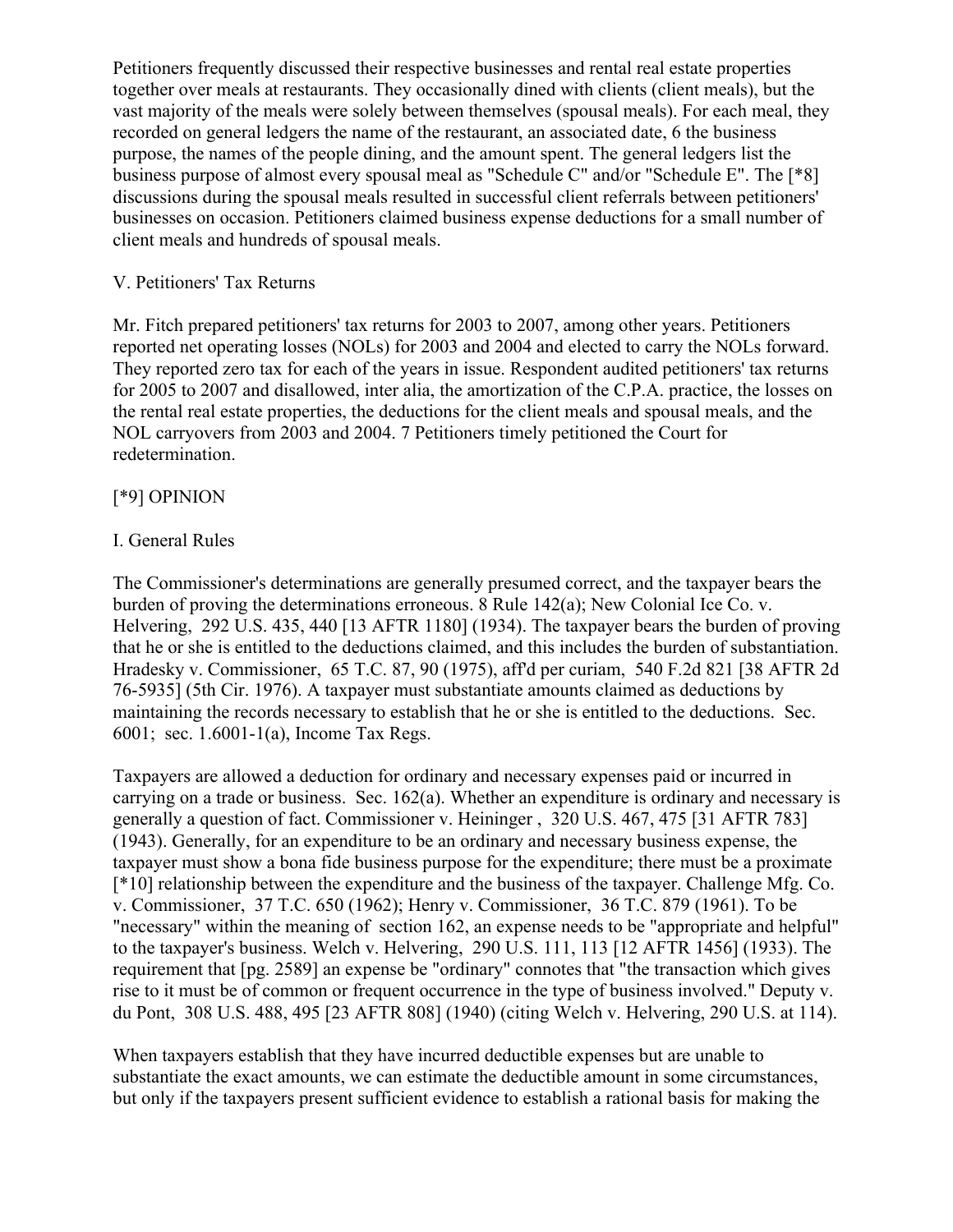Petitioners frequently discussed their respective businesses and rental real estate properties together over meals at restaurants. They occasionally dined with clients (client meals), but the vast majority of the meals were solely between themselves (spousal meals). For each meal, they recorded on general ledgers the name of the restaurant, an associated date, 6 the business purpose, the names of the people dining, and the amount spent. The general ledgers list the business purpose of almost every spousal meal as "Schedule C" and/or "Schedule E". The [\*8] discussions during the spousal meals resulted in successful client referrals between petitioners' businesses on occasion. Petitioners claimed business expense deductions for a small number of client meals and hundreds of spousal meals.

## V. Petitioners' Tax Returns

Mr. Fitch prepared petitioners' tax returns for 2003 to 2007, among other years. Petitioners reported net operating losses (NOLs) for 2003 and 2004 and elected to carry the NOLs forward. They reported zero tax for each of the years in issue. Respondent audited petitioners' tax returns for 2005 to 2007 and disallowed, inter alia, the amortization of the C.P.A. practice, the losses on the rental real estate properties, the deductions for the client meals and spousal meals, and the NOL carryovers from 2003 and 2004. 7 Petitioners timely petitioned the Court for redetermination.

## [\*9] OPINION

## I. General Rules

The Commissioner's determinations are generally presumed correct, and the taxpayer bears the burden of proving the determinations erroneous. 8 Rule 142(a); New Colonial Ice Co. v. Helvering, 292 U.S. 435, 440 [13 AFTR 1180] (1934). The taxpayer bears the burden of proving that he or she is entitled to the deductions claimed, and this includes the burden of substantiation. Hradesky v. Commissioner, 65 T.C. 87, 90 (1975), aff'd per curiam, 540 F.2d 821 [38 AFTR 2d 76-5935] (5th Cir. 1976). A taxpayer must substantiate amounts claimed as deductions by maintaining the records necessary to establish that he or she is entitled to the deductions. Sec. 6001; sec. 1.6001-1(a), Income Tax Regs.

Taxpayers are allowed a deduction for ordinary and necessary expenses paid or incurred in carrying on a trade or business. Sec. 162(a). Whether an expenditure is ordinary and necessary is generally a question of fact. Commissioner v. Heininger , 320 U.S. 467, 475 [31 AFTR 783] (1943). Generally, for an expenditure to be an ordinary and necessary business expense, the taxpayer must show a bona fide business purpose for the expenditure; there must be a proximate [\*10] relationship between the expenditure and the business of the taxpayer. Challenge Mfg. Co. v. Commissioner, 37 T.C. 650 (1962); Henry v. Commissioner, 36 T.C. 879 (1961). To be "necessary" within the meaning of section 162, an expense needs to be "appropriate and helpful" to the taxpayer's business. Welch v. Helvering, 290 U.S. 111, 113 [12 AFTR 1456] (1933). The requirement that [pg. 2589] an expense be "ordinary" connotes that "the transaction which gives rise to it must be of common or frequent occurrence in the type of business involved." Deputy v. du Pont, 308 U.S. 488, 495 [23 AFTR 808] (1940) (citing Welch v. Helvering, 290 U.S. at 114).

When taxpayers establish that they have incurred deductible expenses but are unable to substantiate the exact amounts, we can estimate the deductible amount in some circumstances, but only if the taxpayers present sufficient evidence to establish a rational basis for making the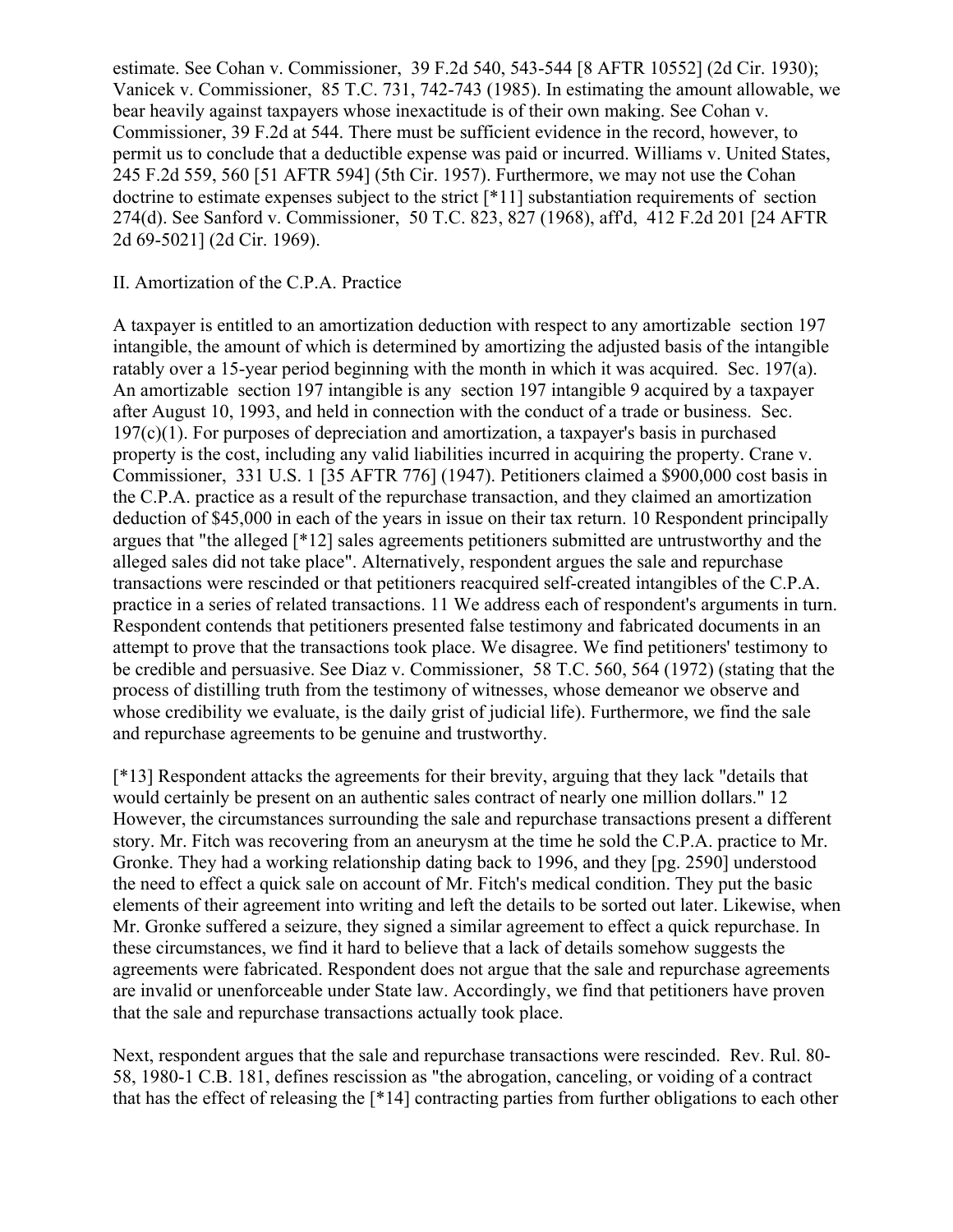estimate. See Cohan v. Commissioner, 39 F.2d 540, 543-544 [8 AFTR 10552] (2d Cir. 1930); Vanicek v. Commissioner, 85 T.C. 731, 742-743 (1985). In estimating the amount allowable, we bear heavily against taxpayers whose inexactitude is of their own making. See Cohan v. Commissioner, 39 F.2d at 544. There must be sufficient evidence in the record, however, to permit us to conclude that a deductible expense was paid or incurred. Williams v. United States, 245 F.2d 559, 560 [51 AFTR 594] (5th Cir. 1957). Furthermore, we may not use the Cohan doctrine to estimate expenses subject to the strict [\*11] substantiation requirements of section 274(d). See Sanford v. Commissioner, 50 T.C. 823, 827 (1968), aff'd, 412 F.2d 201 [24 AFTR 2d 69-5021] (2d Cir. 1969).

### II. Amortization of the C.P.A. Practice

A taxpayer is entitled to an amortization deduction with respect to any amortizable section 197 intangible, the amount of which is determined by amortizing the adjusted basis of the intangible ratably over a 15-year period beginning with the month in which it was acquired. Sec. 197(a). An amortizable section 197 intangible is any section 197 intangible 9 acquired by a taxpayer after August 10, 1993, and held in connection with the conduct of a trade or business. Sec.  $197(c)(1)$ . For purposes of depreciation and amortization, a taxpayer's basis in purchased property is the cost, including any valid liabilities incurred in acquiring the property. Crane v. Commissioner, 331 U.S. 1 [35 AFTR 776] (1947). Petitioners claimed a \$900,000 cost basis in the C.P.A. practice as a result of the repurchase transaction, and they claimed an amortization deduction of \$45,000 in each of the years in issue on their tax return. 10 Respondent principally argues that "the alleged [\*12] sales agreements petitioners submitted are untrustworthy and the alleged sales did not take place". Alternatively, respondent argues the sale and repurchase transactions were rescinded or that petitioners reacquired self-created intangibles of the C.P.A. practice in a series of related transactions. 11 We address each of respondent's arguments in turn. Respondent contends that petitioners presented false testimony and fabricated documents in an attempt to prove that the transactions took place. We disagree. We find petitioners' testimony to be credible and persuasive. See Diaz v. Commissioner, 58 T.C. 560, 564 (1972) (stating that the process of distilling truth from the testimony of witnesses, whose demeanor we observe and whose credibility we evaluate, is the daily grist of judicial life). Furthermore, we find the sale and repurchase agreements to be genuine and trustworthy.

[\*13] Respondent attacks the agreements for their brevity, arguing that they lack "details that would certainly be present on an authentic sales contract of nearly one million dollars." 12 However, the circumstances surrounding the sale and repurchase transactions present a different story. Mr. Fitch was recovering from an aneurysm at the time he sold the C.P.A. practice to Mr. Gronke. They had a working relationship dating back to 1996, and they [pg. 2590] understood the need to effect a quick sale on account of Mr. Fitch's medical condition. They put the basic elements of their agreement into writing and left the details to be sorted out later. Likewise, when Mr. Gronke suffered a seizure, they signed a similar agreement to effect a quick repurchase. In these circumstances, we find it hard to believe that a lack of details somehow suggests the agreements were fabricated. Respondent does not argue that the sale and repurchase agreements are invalid or unenforceable under State law. Accordingly, we find that petitioners have proven that the sale and repurchase transactions actually took place.

Next, respondent argues that the sale and repurchase transactions were rescinded. Rev. Rul. 80- 58, 1980-1 C.B. 181, defines rescission as "the abrogation, canceling, or voiding of a contract that has the effect of releasing the [\*14] contracting parties from further obligations to each other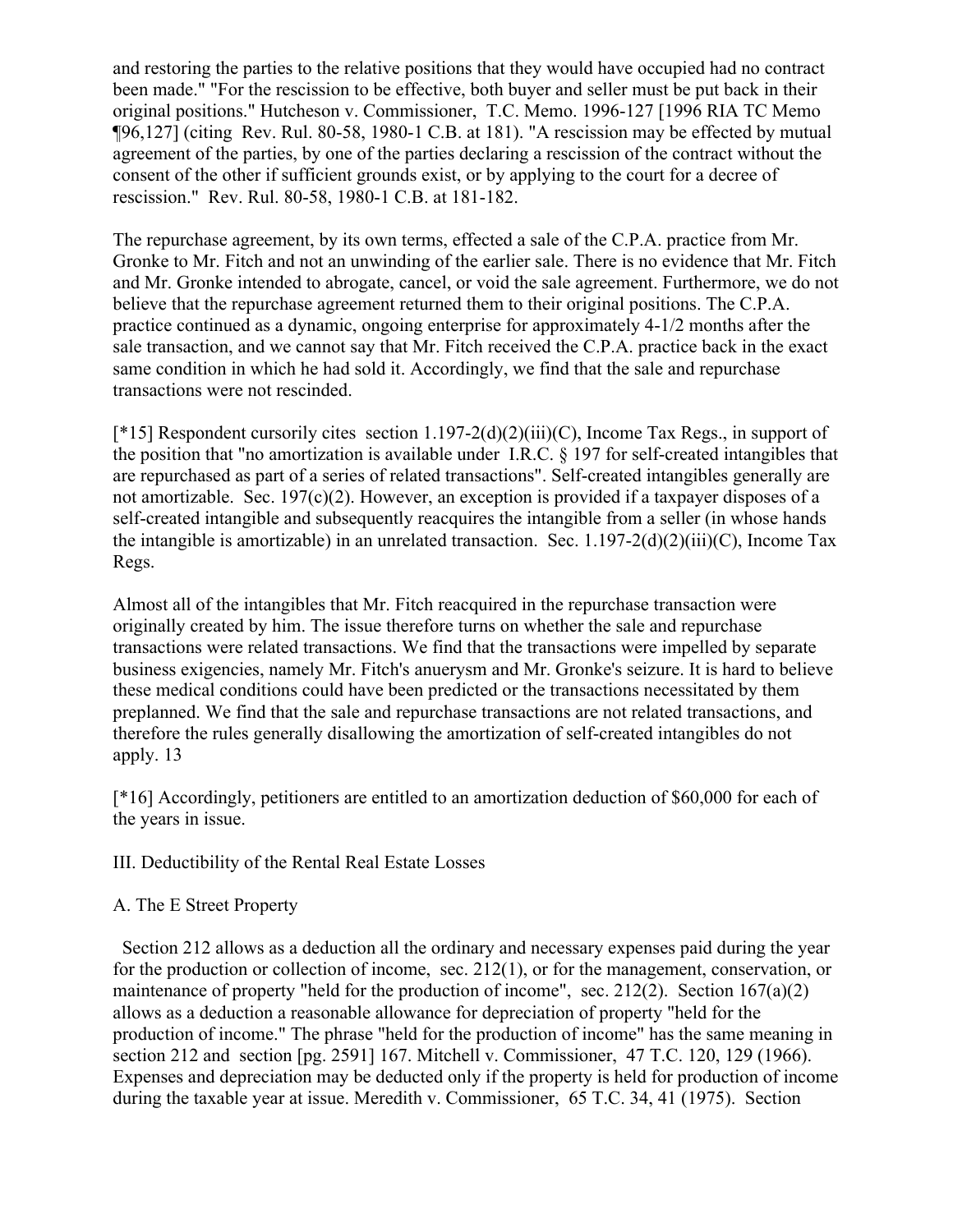and restoring the parties to the relative positions that they would have occupied had no contract been made." "For the rescission to be effective, both buyer and seller must be put back in their original positions." Hutcheson v. Commissioner, T.C. Memo. 1996-127 [1996 RIA TC Memo ¶96,127] (citing Rev. Rul. 80-58, 1980-1 C.B. at 181). "A rescission may be effected by mutual agreement of the parties, by one of the parties declaring a rescission of the contract without the consent of the other if sufficient grounds exist, or by applying to the court for a decree of rescission." Rev. Rul. 80-58, 1980-1 C.B. at 181-182.

The repurchase agreement, by its own terms, effected a sale of the C.P.A. practice from Mr. Gronke to Mr. Fitch and not an unwinding of the earlier sale. There is no evidence that Mr. Fitch and Mr. Gronke intended to abrogate, cancel, or void the sale agreement. Furthermore, we do not believe that the repurchase agreement returned them to their original positions. The C.P.A. practice continued as a dynamic, ongoing enterprise for approximately 4-1/2 months after the sale transaction, and we cannot say that Mr. Fitch received the C.P.A. practice back in the exact same condition in which he had sold it. Accordingly, we find that the sale and repurchase transactions were not rescinded.

[\*15] Respondent cursorily cites section 1.197-2(d)(2)(iii)(C), Income Tax Regs., in support of the position that "no amortization is available under I.R.C. § 197 for self-created intangibles that are repurchased as part of a series of related transactions". Self-created intangibles generally are not amortizable. Sec. 197(c)(2). However, an exception is provided if a taxpayer disposes of a self-created intangible and subsequently reacquires the intangible from a seller (in whose hands the intangible is amortizable) in an unrelated transaction. Sec.  $1.197-2(d)(2)(iii)(C)$ , Income Tax Regs.

Almost all of the intangibles that Mr. Fitch reacquired in the repurchase transaction were originally created by him. The issue therefore turns on whether the sale and repurchase transactions were related transactions. We find that the transactions were impelled by separate business exigencies, namely Mr. Fitch's anuerysm and Mr. Gronke's seizure. It is hard to believe these medical conditions could have been predicted or the transactions necessitated by them preplanned. We find that the sale and repurchase transactions are not related transactions, and therefore the rules generally disallowing the amortization of self-created intangibles do not apply. 13

[\*16] Accordingly, petitioners are entitled to an amortization deduction of \$60,000 for each of the years in issue.

III. Deductibility of the Rental Real Estate Losses

## A. The E Street Property

 Section 212 allows as a deduction all the ordinary and necessary expenses paid during the year for the production or collection of income, sec. 212(1), or for the management, conservation, or maintenance of property "held for the production of income", sec. 212(2). Section 167(a)(2) allows as a deduction a reasonable allowance for depreciation of property "held for the production of income." The phrase "held for the production of income" has the same meaning in section 212 and section [pg. 2591] 167. Mitchell v. Commissioner, 47 T.C. 120, 129 (1966). Expenses and depreciation may be deducted only if the property is held for production of income during the taxable year at issue. Meredith v. Commissioner, 65 T.C. 34, 41 (1975). Section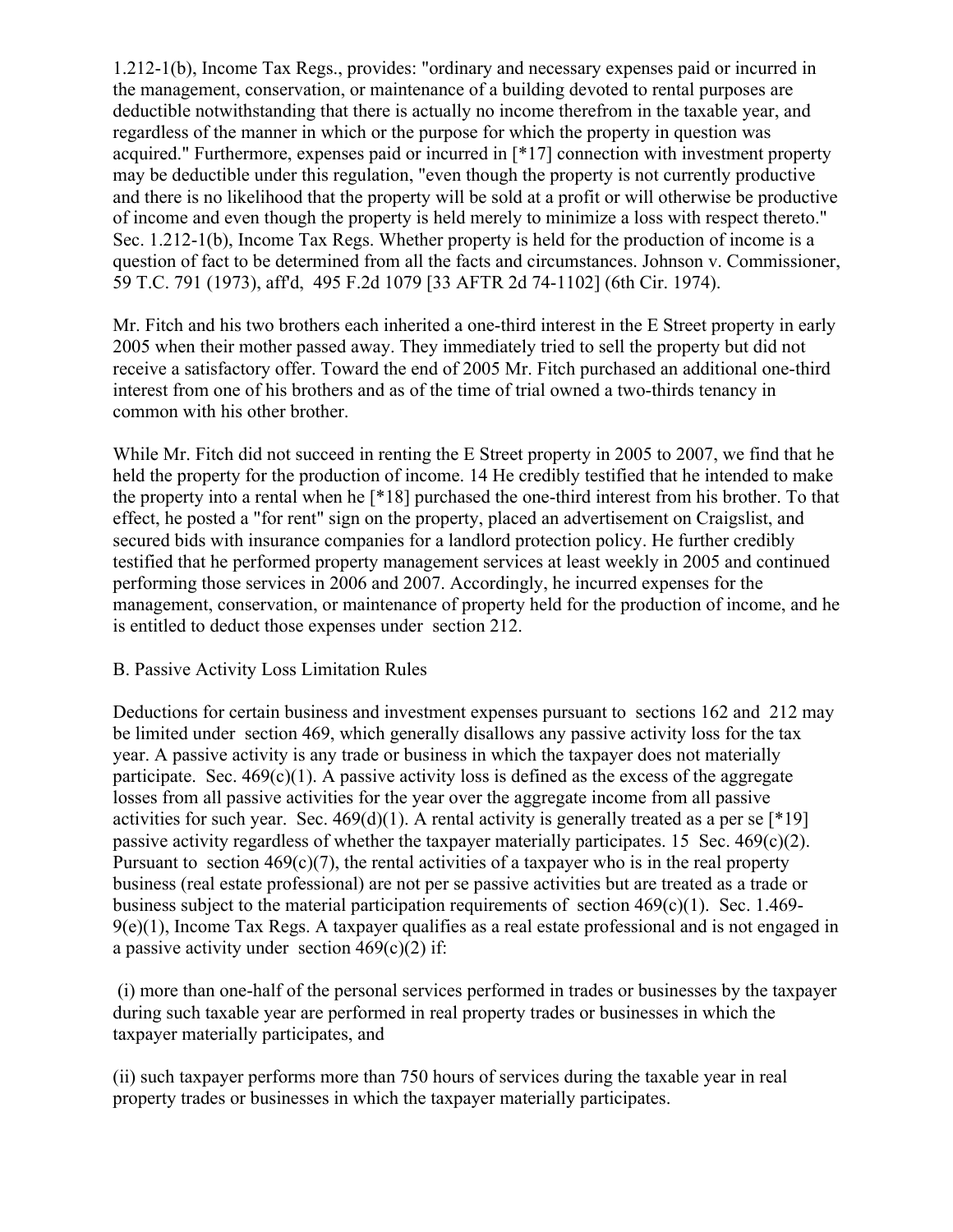1.212-1(b), Income Tax Regs., provides: "ordinary and necessary expenses paid or incurred in the management, conservation, or maintenance of a building devoted to rental purposes are deductible notwithstanding that there is actually no income therefrom in the taxable year, and regardless of the manner in which or the purpose for which the property in question was acquired." Furthermore, expenses paid or incurred in [\*17] connection with investment property may be deductible under this regulation, "even though the property is not currently productive and there is no likelihood that the property will be sold at a profit or will otherwise be productive of income and even though the property is held merely to minimize a loss with respect thereto." Sec. 1.212-1(b), Income Tax Regs. Whether property is held for the production of income is a question of fact to be determined from all the facts and circumstances. Johnson v. Commissioner, 59 T.C. 791 (1973), aff'd, 495 F.2d 1079 [33 AFTR 2d 74-1102] (6th Cir. 1974).

Mr. Fitch and his two brothers each inherited a one-third interest in the E Street property in early 2005 when their mother passed away. They immediately tried to sell the property but did not receive a satisfactory offer. Toward the end of 2005 Mr. Fitch purchased an additional one-third interest from one of his brothers and as of the time of trial owned a two-thirds tenancy in common with his other brother.

While Mr. Fitch did not succeed in renting the E Street property in 2005 to 2007, we find that he held the property for the production of income. 14 He credibly testified that he intended to make the property into a rental when he [\*18] purchased the one-third interest from his brother. To that effect, he posted a "for rent" sign on the property, placed an advertisement on Craigslist, and secured bids with insurance companies for a landlord protection policy. He further credibly testified that he performed property management services at least weekly in 2005 and continued performing those services in 2006 and 2007. Accordingly, he incurred expenses for the management, conservation, or maintenance of property held for the production of income, and he is entitled to deduct those expenses under section 212.

## B. Passive Activity Loss Limitation Rules

Deductions for certain business and investment expenses pursuant to sections 162 and 212 may be limited under section 469, which generally disallows any passive activity loss for the tax year. A passive activity is any trade or business in which the taxpayer does not materially participate. Sec.  $469(c)(1)$ . A passive activity loss is defined as the excess of the aggregate losses from all passive activities for the year over the aggregate income from all passive activities for such year. Sec.  $469(d)(1)$ . A rental activity is generally treated as a per se [\*19] passive activity regardless of whether the taxpayer materially participates. 15 Sec.  $469(c)(2)$ . Pursuant to section  $469(c)(7)$ , the rental activities of a taxpayer who is in the real property business (real estate professional) are not per se passive activities but are treated as a trade or business subject to the material participation requirements of section 469(c)(1). Sec. 1.469-  $9(e)(1)$ , Income Tax Regs. A taxpayer qualifies as a real estate professional and is not engaged in a passive activity under section  $469(c)(2)$  if:

(i) more than one-half of the personal services performed in trades or businesses by the taxpayer during such taxable year are performed in real property trades or businesses in which the taxpayer materially participates, and

(ii) such taxpayer performs more than 750 hours of services during the taxable year in real property trades or businesses in which the taxpayer materially participates.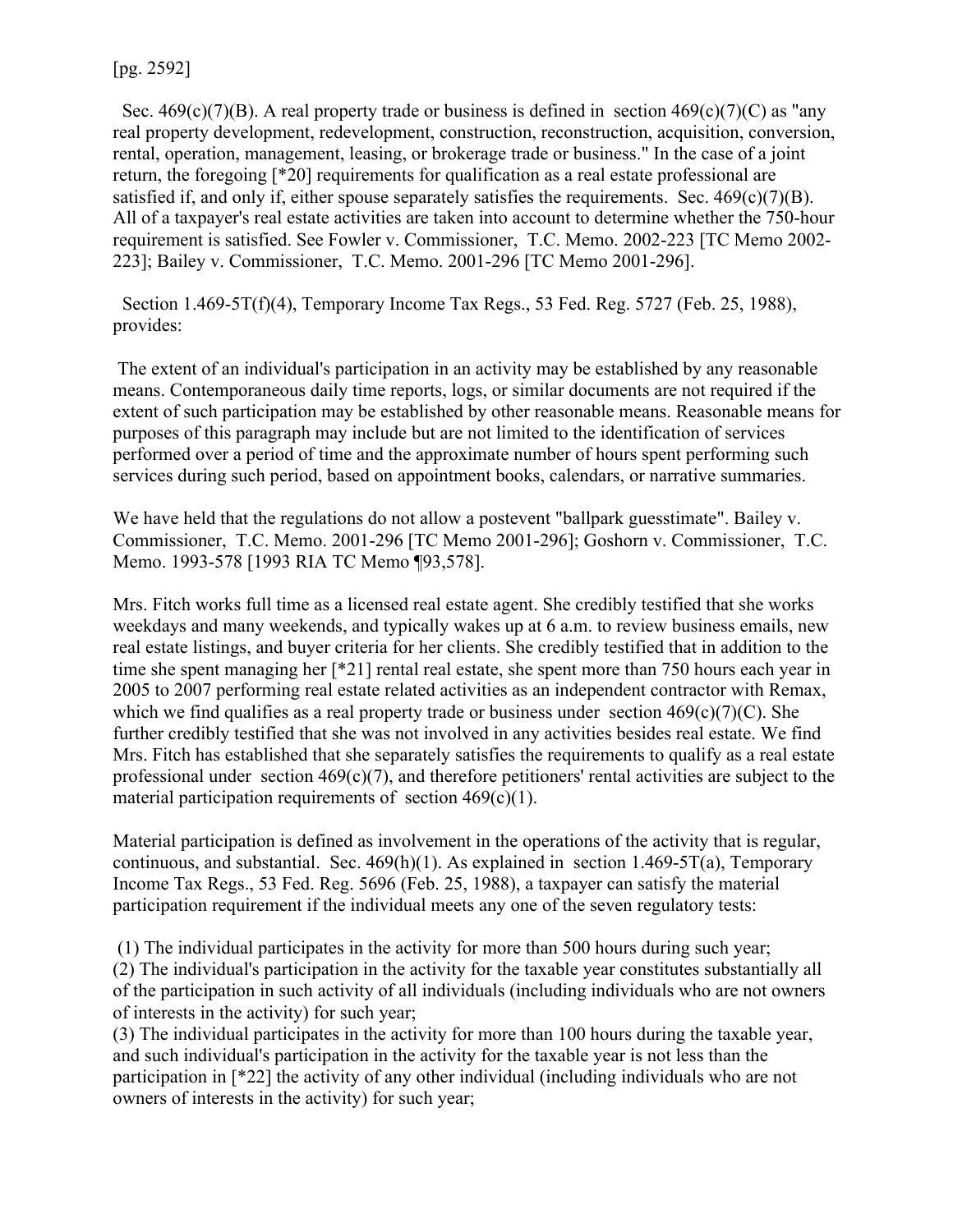[pg. 2592]

Sec. 469(c)(7)(B). A real property trade or business is defined in section  $469(c)(7)(C)$  as "any real property development, redevelopment, construction, reconstruction, acquisition, conversion, rental, operation, management, leasing, or brokerage trade or business." In the case of a joint return, the foregoing [\*20] requirements for qualification as a real estate professional are satisfied if, and only if, either spouse separately satisfies the requirements. Sec.  $469(c)(7)(B)$ . All of a taxpayer's real estate activities are taken into account to determine whether the 750-hour requirement is satisfied. See Fowler v. Commissioner, T.C. Memo. 2002-223 [TC Memo 2002- 223]; Bailey v. Commissioner, T.C. Memo. 2001-296 [TC Memo 2001-296].

 Section 1.469-5T(f)(4), Temporary Income Tax Regs., 53 Fed. Reg. 5727 (Feb. 25, 1988), provides:

The extent of an individual's participation in an activity may be established by any reasonable means. Contemporaneous daily time reports, logs, or similar documents are not required if the extent of such participation may be established by other reasonable means. Reasonable means for purposes of this paragraph may include but are not limited to the identification of services performed over a period of time and the approximate number of hours spent performing such services during such period, based on appointment books, calendars, or narrative summaries.

We have held that the regulations do not allow a postevent "ballpark guesstimate". Bailey v. Commissioner, T.C. Memo. 2001-296 [TC Memo 2001-296]; Goshorn v. Commissioner, T.C. Memo. 1993-578 [1993 RIA TC Memo ¶93,578].

Mrs. Fitch works full time as a licensed real estate agent. She credibly testified that she works weekdays and many weekends, and typically wakes up at 6 a.m. to review business emails, new real estate listings, and buyer criteria for her clients. She credibly testified that in addition to the time she spent managing her [\*21] rental real estate, she spent more than 750 hours each year in 2005 to 2007 performing real estate related activities as an independent contractor with Remax, which we find qualifies as a real property trade or business under section  $469(c)(7)(C)$ . She further credibly testified that she was not involved in any activities besides real estate. We find Mrs. Fitch has established that she separately satisfies the requirements to qualify as a real estate professional under section  $469(c)(7)$ , and therefore petitioners' rental activities are subject to the material participation requirements of section  $469(c)(1)$ .

Material participation is defined as involvement in the operations of the activity that is regular, continuous, and substantial. Sec.  $469(h)(1)$ . As explained in section 1.469-5T(a), Temporary Income Tax Regs., 53 Fed. Reg. 5696 (Feb. 25, 1988), a taxpayer can satisfy the material participation requirement if the individual meets any one of the seven regulatory tests:

(1) The individual participates in the activity for more than 500 hours during such year; (2) The individual's participation in the activity for the taxable year constitutes substantially all of the participation in such activity of all individuals (including individuals who are not owners of interests in the activity) for such year;

(3) The individual participates in the activity for more than 100 hours during the taxable year, and such individual's participation in the activity for the taxable year is not less than the participation in [\*22] the activity of any other individual (including individuals who are not owners of interests in the activity) for such year;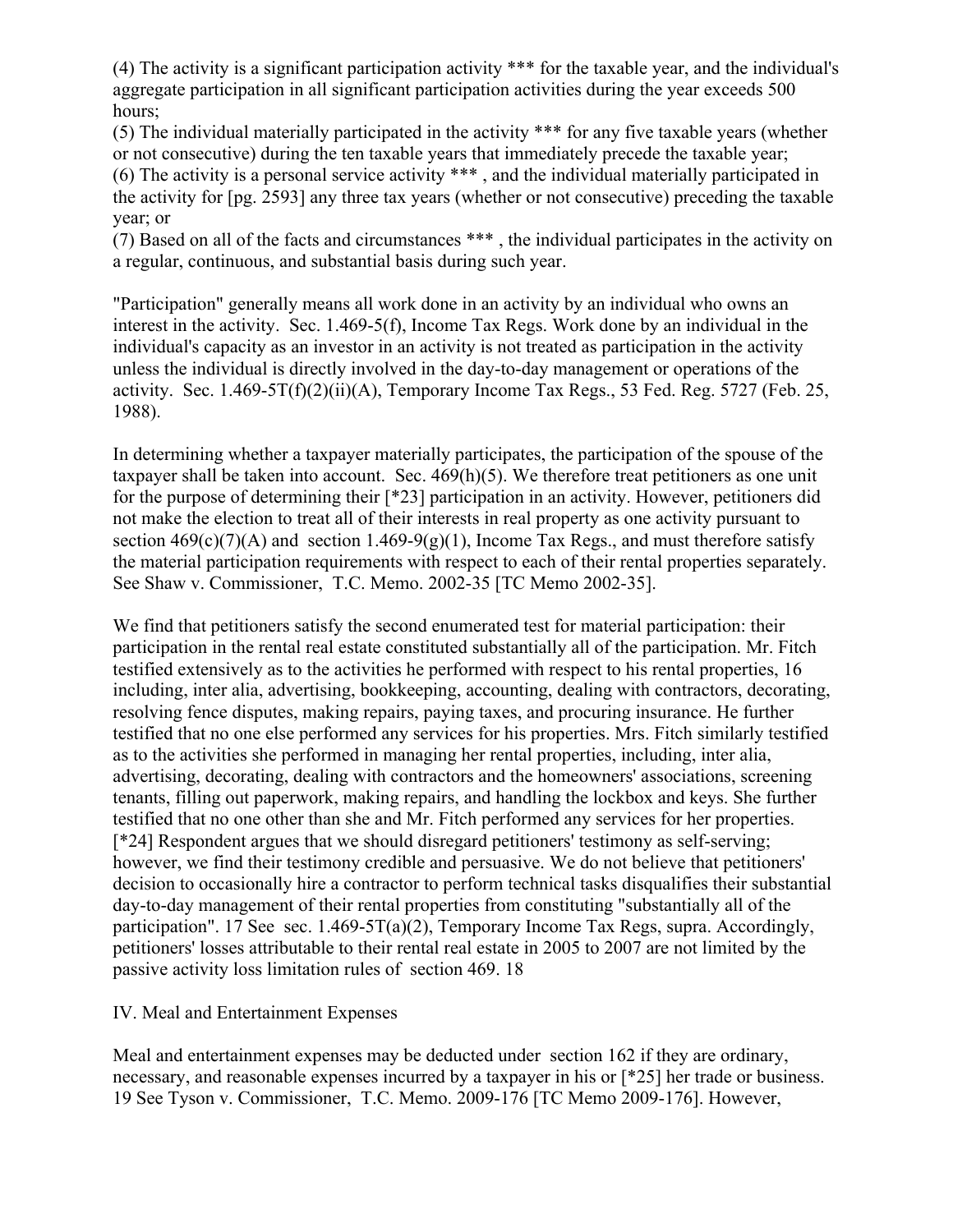(4) The activity is a significant participation activity \*\*\* for the taxable year, and the individual's aggregate participation in all significant participation activities during the year exceeds 500 hours;

(5) The individual materially participated in the activity \*\*\* for any five taxable years (whether or not consecutive) during the ten taxable years that immediately precede the taxable year; (6) The activity is a personal service activity \*\*\* , and the individual materially participated in the activity for [pg. 2593] any three tax years (whether or not consecutive) preceding the taxable year; or

(7) Based on all of the facts and circumstances \*\*\* , the individual participates in the activity on a regular, continuous, and substantial basis during such year.

"Participation" generally means all work done in an activity by an individual who owns an interest in the activity. Sec. 1.469-5(f), Income Tax Regs. Work done by an individual in the individual's capacity as an investor in an activity is not treated as participation in the activity unless the individual is directly involved in the day-to-day management or operations of the activity. Sec.  $1.469 - 5T(f)(2)(ii)(A)$ , Temporary Income Tax Regs., 53 Fed. Reg. 5727 (Feb. 25, 1988).

In determining whether a taxpayer materially participates, the participation of the spouse of the taxpayer shall be taken into account. Sec. 469(h)(5). We therefore treat petitioners as one unit for the purpose of determining their [\*23] participation in an activity. However, petitioners did not make the election to treat all of their interests in real property as one activity pursuant to section  $469(c)(7)(A)$  and section  $1.469-9(g)(1)$ , Income Tax Regs., and must therefore satisfy the material participation requirements with respect to each of their rental properties separately. See Shaw v. Commissioner, T.C. Memo. 2002-35 [TC Memo 2002-35].

We find that petitioners satisfy the second enumerated test for material participation: their participation in the rental real estate constituted substantially all of the participation. Mr. Fitch testified extensively as to the activities he performed with respect to his rental properties, 16 including, inter alia, advertising, bookkeeping, accounting, dealing with contractors, decorating, resolving fence disputes, making repairs, paying taxes, and procuring insurance. He further testified that no one else performed any services for his properties. Mrs. Fitch similarly testified as to the activities she performed in managing her rental properties, including, inter alia, advertising, decorating, dealing with contractors and the homeowners' associations, screening tenants, filling out paperwork, making repairs, and handling the lockbox and keys. She further testified that no one other than she and Mr. Fitch performed any services for her properties. [\*24] Respondent argues that we should disregard petitioners' testimony as self-serving; however, we find their testimony credible and persuasive. We do not believe that petitioners' decision to occasionally hire a contractor to perform technical tasks disqualifies their substantial day-to-day management of their rental properties from constituting "substantially all of the participation". 17 See sec. 1.469-5T(a)(2), Temporary Income Tax Regs, supra. Accordingly, petitioners' losses attributable to their rental real estate in 2005 to 2007 are not limited by the passive activity loss limitation rules of section 469. 18

## IV. Meal and Entertainment Expenses

Meal and entertainment expenses may be deducted under section 162 if they are ordinary, necessary, and reasonable expenses incurred by a taxpayer in his or  $[^*25]$  her trade or business. 19 See Tyson v. Commissioner, T.C. Memo. 2009-176 [TC Memo 2009-176]. However,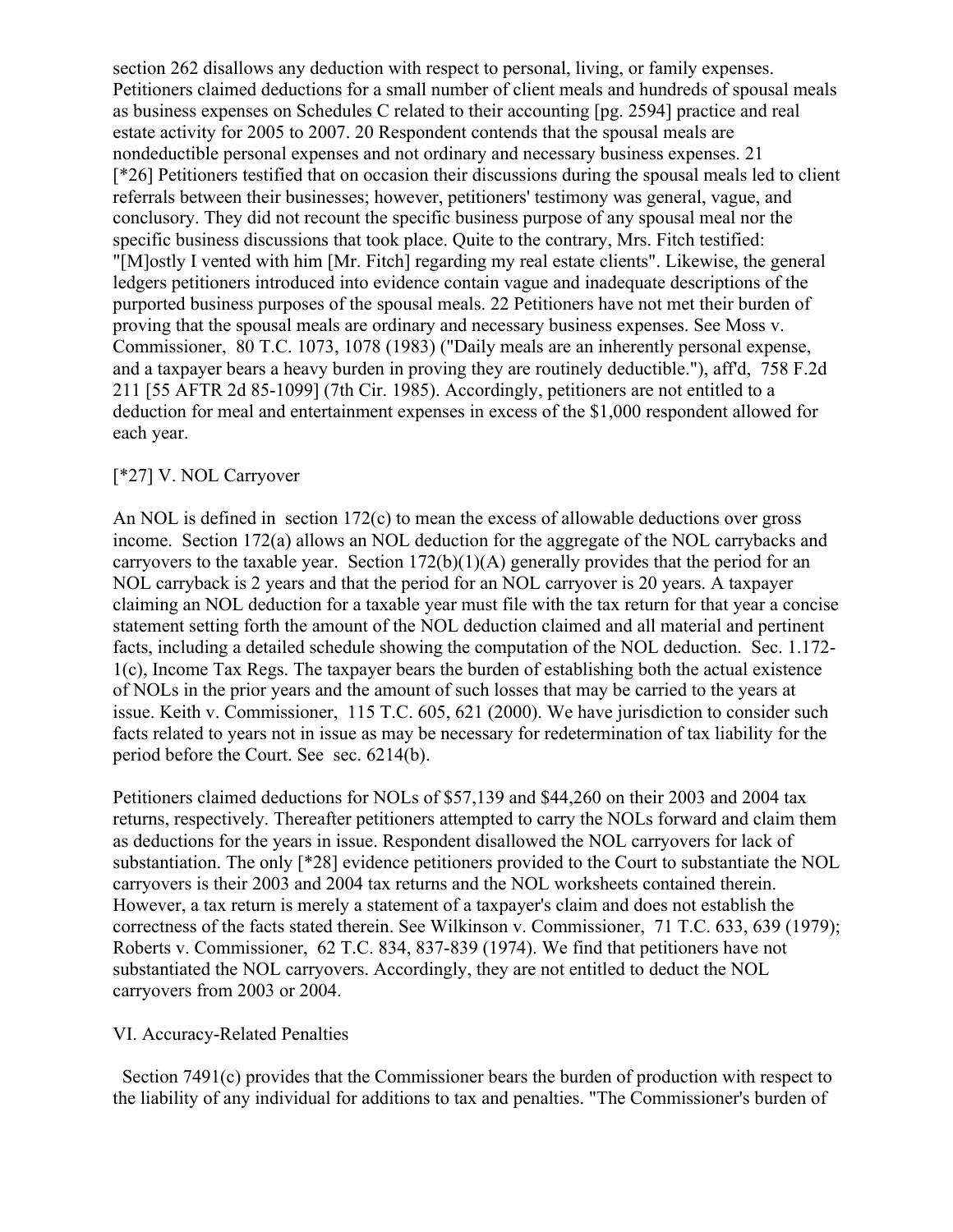section 262 disallows any deduction with respect to personal, living, or family expenses. Petitioners claimed deductions for a small number of client meals and hundreds of spousal meals as business expenses on Schedules C related to their accounting [pg. 2594] practice and real estate activity for 2005 to 2007. 20 Respondent contends that the spousal meals are nondeductible personal expenses and not ordinary and necessary business expenses. 21 [\*26] Petitioners testified that on occasion their discussions during the spousal meals led to client referrals between their businesses; however, petitioners' testimony was general, vague, and conclusory. They did not recount the specific business purpose of any spousal meal nor the specific business discussions that took place. Quite to the contrary, Mrs. Fitch testified: "[M]ostly I vented with him [Mr. Fitch] regarding my real estate clients". Likewise, the general ledgers petitioners introduced into evidence contain vague and inadequate descriptions of the purported business purposes of the spousal meals. 22 Petitioners have not met their burden of proving that the spousal meals are ordinary and necessary business expenses. See Moss v. Commissioner, 80 T.C. 1073, 1078 (1983) ("Daily meals are an inherently personal expense, and a taxpayer bears a heavy burden in proving they are routinely deductible."), aff'd, 758 F.2d 211 [55 AFTR 2d 85-1099] (7th Cir. 1985). Accordingly, petitioners are not entitled to a deduction for meal and entertainment expenses in excess of the \$1,000 respondent allowed for each year.

### [\*27] V. NOL Carryover

An NOL is defined in section 172(c) to mean the excess of allowable deductions over gross income. Section 172(a) allows an NOL deduction for the aggregate of the NOL carrybacks and carryovers to the taxable year. Section  $172(b)(1)(A)$  generally provides that the period for an NOL carryback is 2 years and that the period for an NOL carryover is 20 years. A taxpayer claiming an NOL deduction for a taxable year must file with the tax return for that year a concise statement setting forth the amount of the NOL deduction claimed and all material and pertinent facts, including a detailed schedule showing the computation of the NOL deduction. Sec. 1.172- 1(c), Income Tax Regs. The taxpayer bears the burden of establishing both the actual existence of NOLs in the prior years and the amount of such losses that may be carried to the years at issue. Keith v. Commissioner, 115 T.C. 605, 621 (2000). We have jurisdiction to consider such facts related to years not in issue as may be necessary for redetermination of tax liability for the period before the Court. See sec. 6214(b).

Petitioners claimed deductions for NOLs of \$57,139 and \$44,260 on their 2003 and 2004 tax returns, respectively. Thereafter petitioners attempted to carry the NOLs forward and claim them as deductions for the years in issue. Respondent disallowed the NOL carryovers for lack of substantiation. The only [\*28] evidence petitioners provided to the Court to substantiate the NOL carryovers is their 2003 and 2004 tax returns and the NOL worksheets contained therein. However, a tax return is merely a statement of a taxpayer's claim and does not establish the correctness of the facts stated therein. See Wilkinson v. Commissioner, 71 T.C. 633, 639 (1979); Roberts v. Commissioner, 62 T.C. 834, 837-839 (1974). We find that petitioners have not substantiated the NOL carryovers. Accordingly, they are not entitled to deduct the NOL carryovers from 2003 or 2004.

### VI. Accuracy-Related Penalties

 Section 7491(c) provides that the Commissioner bears the burden of production with respect to the liability of any individual for additions to tax and penalties. "The Commissioner's burden of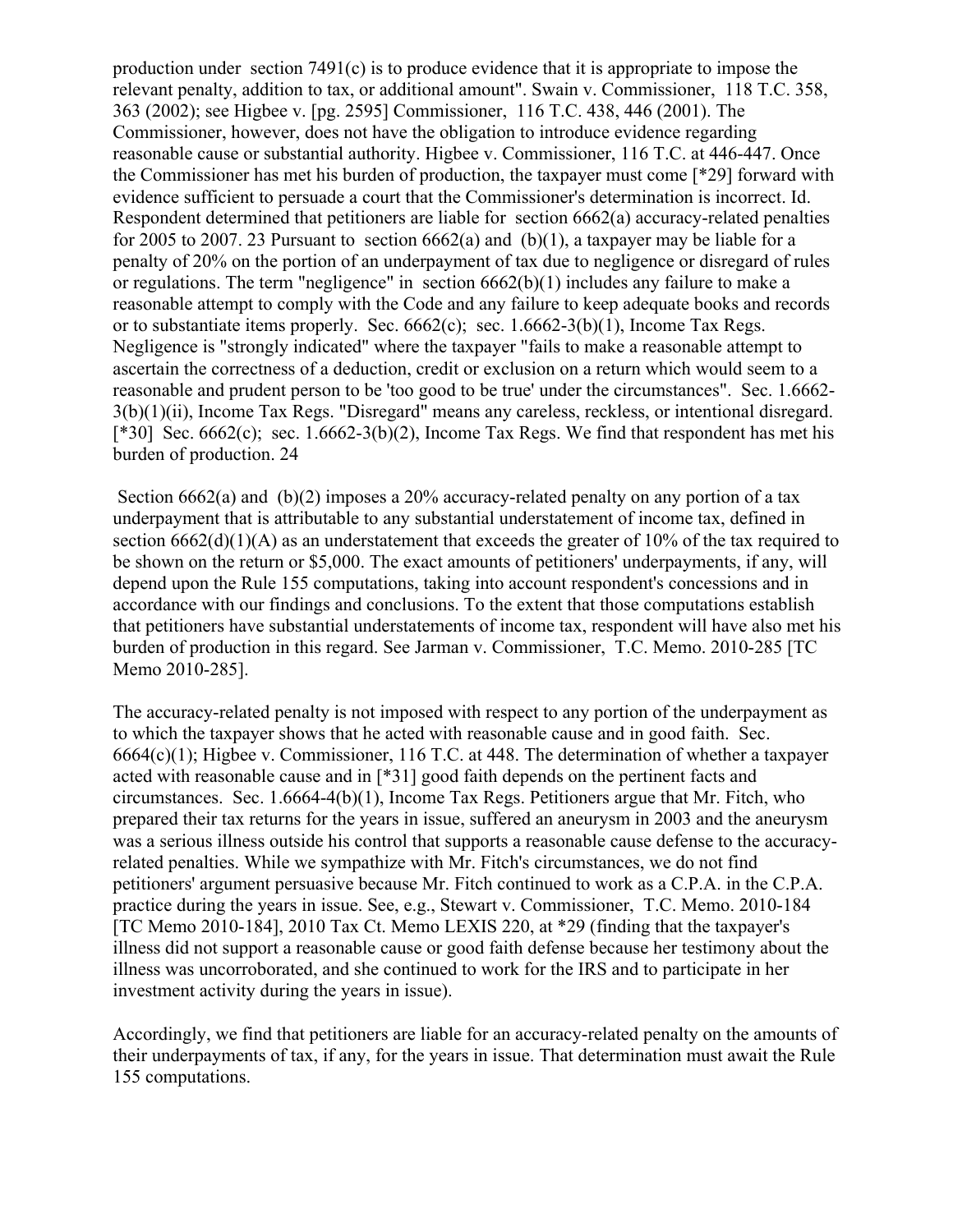production under section 7491(c) is to produce evidence that it is appropriate to impose the relevant penalty, addition to tax, or additional amount". Swain v. Commissioner, 118 T.C. 358, 363 (2002); see Higbee v. [pg. 2595] Commissioner, 116 T.C. 438, 446 (2001). The Commissioner, however, does not have the obligation to introduce evidence regarding reasonable cause or substantial authority. Higbee v. Commissioner, 116 T.C. at 446-447. Once the Commissioner has met his burden of production, the taxpayer must come [\*29] forward with evidence sufficient to persuade a court that the Commissioner's determination is incorrect. Id. Respondent determined that petitioners are liable for section 6662(a) accuracy-related penalties for 2005 to 2007. 23 Pursuant to section  $6662(a)$  and  $(b)(1)$ , a taxpayer may be liable for a penalty of 20% on the portion of an underpayment of tax due to negligence or disregard of rules or regulations. The term "negligence" in section 6662(b)(1) includes any failure to make a reasonable attempt to comply with the Code and any failure to keep adequate books and records or to substantiate items properly. Sec. 6662(c); sec. 1.6662-3(b)(1), Income Tax Regs. Negligence is "strongly indicated" where the taxpayer "fails to make a reasonable attempt to ascertain the correctness of a deduction, credit or exclusion on a return which would seem to a reasonable and prudent person to be 'too good to be true' under the circumstances". Sec. 1.6662- 3(b)(1)(ii), Income Tax Regs. "Disregard" means any careless, reckless, or intentional disregard. [\*30] Sec. 6662(c); sec. 1.6662-3(b)(2), Income Tax Regs. We find that respondent has met his burden of production. 24

Section 6662(a) and (b)(2) imposes a 20% accuracy-related penalty on any portion of a tax underpayment that is attributable to any substantial understatement of income tax, defined in section 6662(d)(1)(A) as an understatement that exceeds the greater of 10% of the tax required to be shown on the return or \$5,000. The exact amounts of petitioners' underpayments, if any, will depend upon the Rule 155 computations, taking into account respondent's concessions and in accordance with our findings and conclusions. To the extent that those computations establish that petitioners have substantial understatements of income tax, respondent will have also met his burden of production in this regard. See Jarman v. Commissioner, T.C. Memo. 2010-285 [TC Memo 2010-285].

The accuracy-related penalty is not imposed with respect to any portion of the underpayment as to which the taxpayer shows that he acted with reasonable cause and in good faith. Sec. 6664(c)(1); Higbee v. Commissioner, 116 T.C. at 448. The determination of whether a taxpayer acted with reasonable cause and in [\*31] good faith depends on the pertinent facts and circumstances. Sec. 1.6664-4(b)(1), Income Tax Regs. Petitioners argue that Mr. Fitch, who prepared their tax returns for the years in issue, suffered an aneurysm in 2003 and the aneurysm was a serious illness outside his control that supports a reasonable cause defense to the accuracyrelated penalties. While we sympathize with Mr. Fitch's circumstances, we do not find petitioners' argument persuasive because Mr. Fitch continued to work as a C.P.A. in the C.P.A. practice during the years in issue. See, e.g., Stewart v. Commissioner, T.C. Memo. 2010-184 [TC Memo 2010-184], 2010 Tax Ct. Memo LEXIS 220, at \*29 (finding that the taxpayer's illness did not support a reasonable cause or good faith defense because her testimony about the illness was uncorroborated, and she continued to work for the IRS and to participate in her investment activity during the years in issue).

Accordingly, we find that petitioners are liable for an accuracy-related penalty on the amounts of their underpayments of tax, if any, for the years in issue. That determination must await the Rule 155 computations.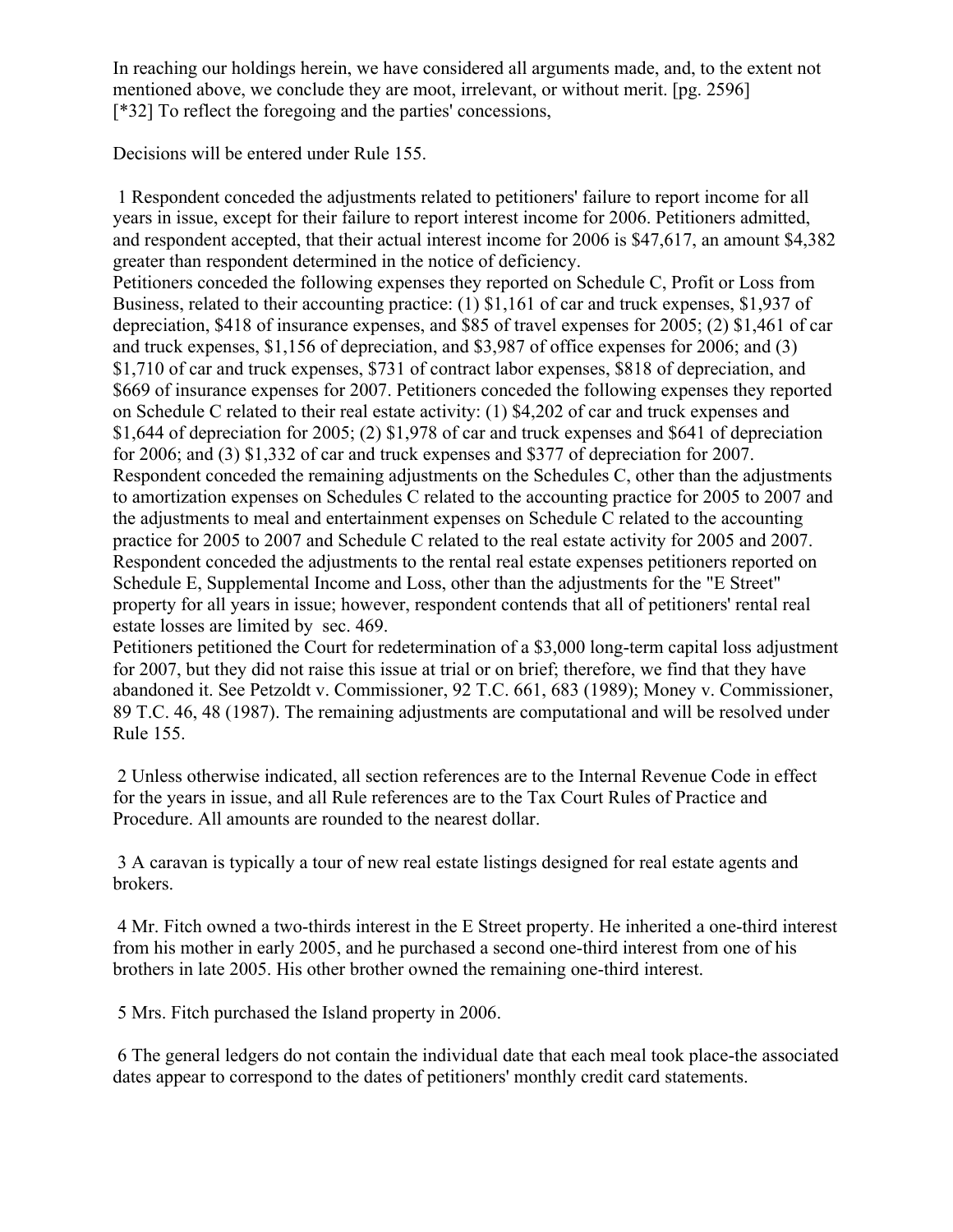In reaching our holdings herein, we have considered all arguments made, and, to the extent not mentioned above, we conclude they are moot, irrelevant, or without merit. [pg. 2596] [\*32] To reflect the foregoing and the parties' concessions,

Decisions will be entered under Rule 155.

1 Respondent conceded the adjustments related to petitioners' failure to report income for all years in issue, except for their failure to report interest income for 2006. Petitioners admitted, and respondent accepted, that their actual interest income for 2006 is \$47,617, an amount \$4,382 greater than respondent determined in the notice of deficiency.

Petitioners conceded the following expenses they reported on Schedule C, Profit or Loss from Business, related to their accounting practice: (1) \$1,161 of car and truck expenses, \$1,937 of depreciation, \$418 of insurance expenses, and \$85 of travel expenses for 2005; (2) \$1,461 of car and truck expenses, \$1,156 of depreciation, and \$3,987 of office expenses for 2006; and (3) \$1,710 of car and truck expenses, \$731 of contract labor expenses, \$818 of depreciation, and \$669 of insurance expenses for 2007. Petitioners conceded the following expenses they reported on Schedule C related to their real estate activity: (1) \$4,202 of car and truck expenses and \$1,644 of depreciation for 2005; (2) \$1,978 of car and truck expenses and \$641 of depreciation for 2006; and (3) \$1,332 of car and truck expenses and \$377 of depreciation for 2007. Respondent conceded the remaining adjustments on the Schedules C, other than the adjustments to amortization expenses on Schedules C related to the accounting practice for 2005 to 2007 and the adjustments to meal and entertainment expenses on Schedule C related to the accounting practice for 2005 to 2007 and Schedule C related to the real estate activity for 2005 and 2007. Respondent conceded the adjustments to the rental real estate expenses petitioners reported on Schedule E, Supplemental Income and Loss, other than the adjustments for the "E Street" property for all years in issue; however, respondent contends that all of petitioners' rental real estate losses are limited by sec. 469.

Petitioners petitioned the Court for redetermination of a \$3,000 long-term capital loss adjustment for 2007, but they did not raise this issue at trial or on brief; therefore, we find that they have abandoned it. See Petzoldt v. Commissioner, 92 T.C. 661, 683 (1989); Money v. Commissioner, 89 T.C. 46, 48 (1987). The remaining adjustments are computational and will be resolved under Rule 155.

2 Unless otherwise indicated, all section references are to the Internal Revenue Code in effect for the years in issue, and all Rule references are to the Tax Court Rules of Practice and Procedure. All amounts are rounded to the nearest dollar.

3 A caravan is typically a tour of new real estate listings designed for real estate agents and brokers.

4 Mr. Fitch owned a two-thirds interest in the E Street property. He inherited a one-third interest from his mother in early 2005, and he purchased a second one-third interest from one of his brothers in late 2005. His other brother owned the remaining one-third interest.

5 Mrs. Fitch purchased the Island property in 2006.

6 The general ledgers do not contain the individual date that each meal took place-the associated dates appear to correspond to the dates of petitioners' monthly credit card statements.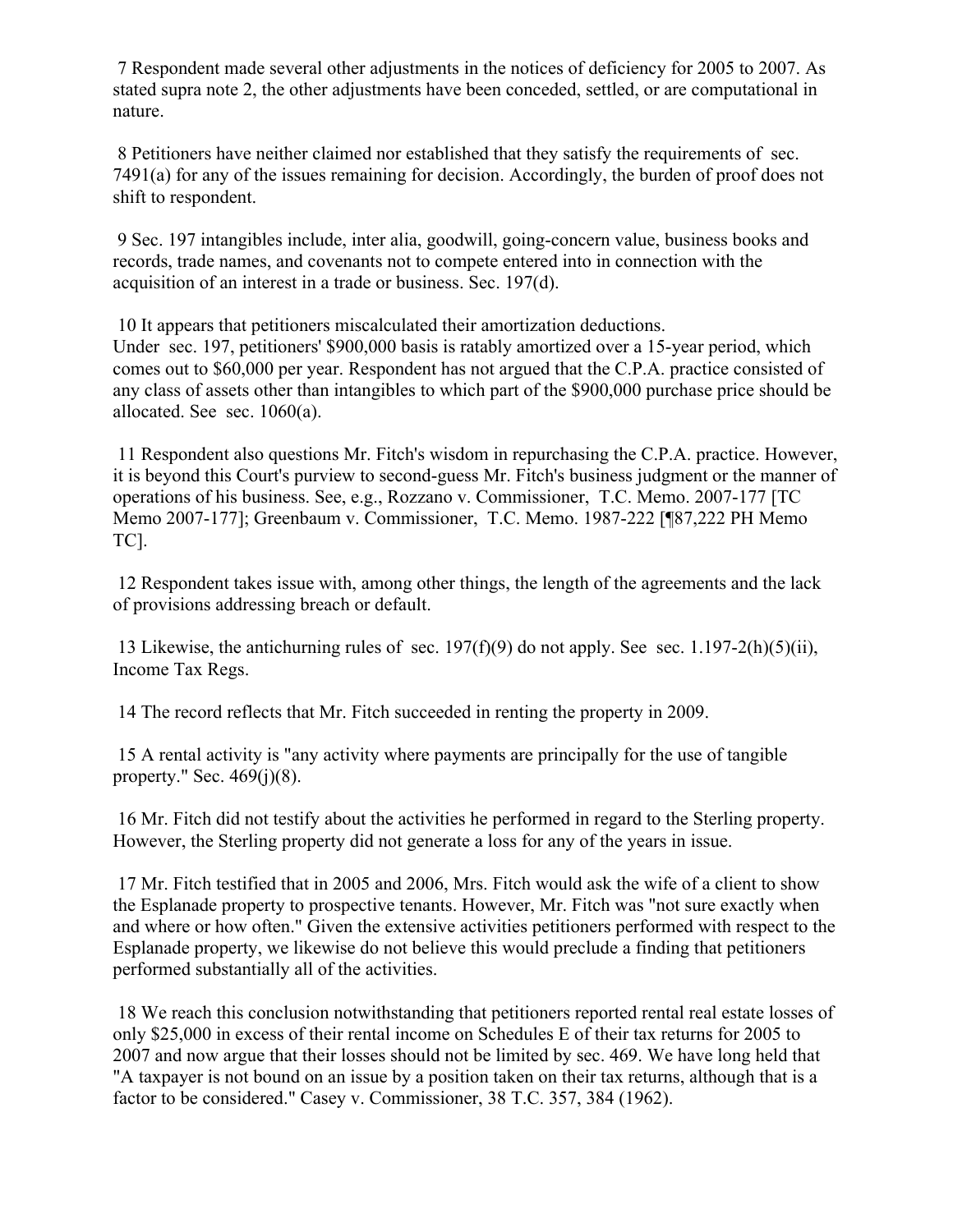7 Respondent made several other adjustments in the notices of deficiency for 2005 to 2007. As stated supra note 2, the other adjustments have been conceded, settled, or are computational in nature.

8 Petitioners have neither claimed nor established that they satisfy the requirements of sec. 7491(a) for any of the issues remaining for decision. Accordingly, the burden of proof does not shift to respondent.

9 Sec. 197 intangibles include, inter alia, goodwill, going-concern value, business books and records, trade names, and covenants not to compete entered into in connection with the acquisition of an interest in a trade or business. Sec. 197(d).

10 It appears that petitioners miscalculated their amortization deductions. Under sec. 197, petitioners' \$900,000 basis is ratably amortized over a 15-year period, which comes out to \$60,000 per year. Respondent has not argued that the C.P.A. practice consisted of any class of assets other than intangibles to which part of the \$900,000 purchase price should be allocated. See sec. 1060(a).

11 Respondent also questions Mr. Fitch's wisdom in repurchasing the C.P.A. practice. However, it is beyond this Court's purview to second-guess Mr. Fitch's business judgment or the manner of operations of his business. See, e.g., Rozzano v. Commissioner, T.C. Memo. 2007-177 [TC Memo 2007-177]; Greenbaum v. Commissioner, T.C. Memo. 1987-222 [¶87,222 PH Memo TC].

12 Respondent takes issue with, among other things, the length of the agreements and the lack of provisions addressing breach or default.

13 Likewise, the antichurning rules of sec. 197(f)(9) do not apply. See sec. 1.197-2(h)(5)(ii), Income Tax Regs.

14 The record reflects that Mr. Fitch succeeded in renting the property in 2009.

15 A rental activity is "any activity where payments are principally for the use of tangible property." Sec.  $469(j)(8)$ .

16 Mr. Fitch did not testify about the activities he performed in regard to the Sterling property. However, the Sterling property did not generate a loss for any of the years in issue.

17 Mr. Fitch testified that in 2005 and 2006, Mrs. Fitch would ask the wife of a client to show the Esplanade property to prospective tenants. However, Mr. Fitch was "not sure exactly when and where or how often." Given the extensive activities petitioners performed with respect to the Esplanade property, we likewise do not believe this would preclude a finding that petitioners performed substantially all of the activities.

18 We reach this conclusion notwithstanding that petitioners reported rental real estate losses of only \$25,000 in excess of their rental income on Schedules E of their tax returns for 2005 to 2007 and now argue that their losses should not be limited by sec. 469. We have long held that "A taxpayer is not bound on an issue by a position taken on their tax returns, although that is a factor to be considered." Casey v. Commissioner, 38 T.C. 357, 384 (1962).